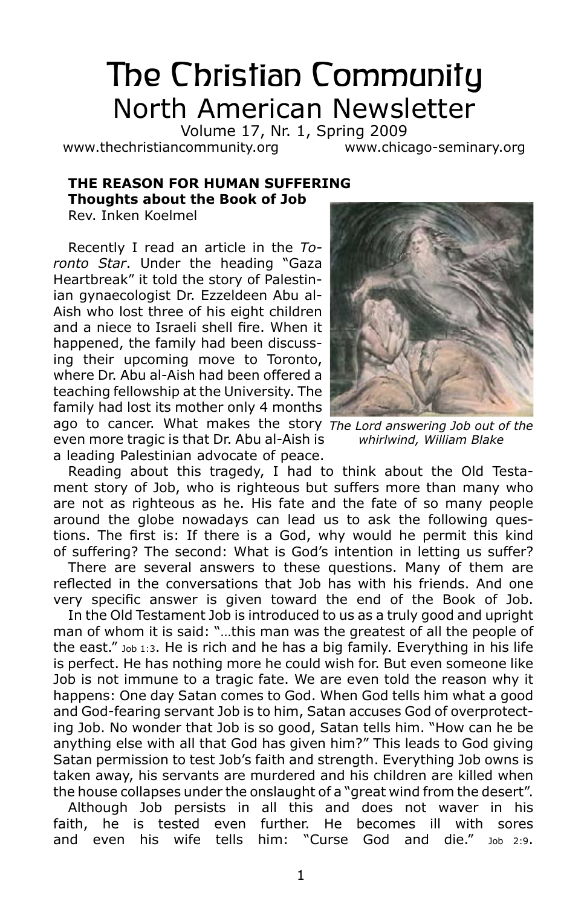# The Christian Community North American Newsletter

Volume 17, Nr. 1, Spring 2009 www.thechristiancommunity.org www.chicago-seminary.org

# **The Reason for Human Suffering Thoughts about the Book of Job**

Rev. Inken Koelmel

Recently I read an article in the *Toronto Star*. Under the heading "Gaza Heartbreak" it told the story of Palestinian gynaecologist Dr. Ezzeldeen Abu al-Aish who lost three of his eight children and a niece to Israeli shell fire. When it happened, the family had been discussing their upcoming move to Toronto, where Dr. Abu al-Aish had been offered a teaching fellowship at the University. The family had lost its mother only 4 months

ago to cancer. What makes the story *The Lord answering Job out of the*  even more tragic is that Dr. Abu al-Aish is a leading Palestinian advocate of peace.

Reading about this tragedy, I had to think about the Old Testament story of Job, who is righteous but suffers more than many who are not as righteous as he. His fate and the fate of so many people around the globe nowadays can lead us to ask the following questions. The first is: If there is a God, why would he permit this kind of suffering? The second: What is God's intention in letting us suffer?

There are several answers to these questions. Many of them are reflected in the conversations that Job has with his friends. And one very specific answer is given toward the end of the Book of Job.

In the Old Testament Job is introduced to us as a truly good and upright man of whom it is said: "…this man was the greatest of all the people of the east."  $_{\text{Job 1:3}}$ . He is rich and he has a big family. Everything in his life is perfect. He has nothing more he could wish for. But even someone like Job is not immune to a tragic fate. We are even told the reason why it happens: One day Satan comes to God. When God tells him what a good and God-fearing servant Job is to him, Satan accuses God of overprotecting Job. No wonder that Job is so good, Satan tells him. "How can he be anything else with all that God has given him?" This leads to God giving Satan permission to test Job's faith and strength. Everything Job owns is taken away, his servants are murdered and his children are killed when the house collapses under the onslaught of a "great wind from the desert".

Although Job persists in all this and does not waver in his faith, he is tested even further. He becomes ill with sores and even his wife tells him: "Curse God and die." Job 2:9.



*whirlwind, William Blake*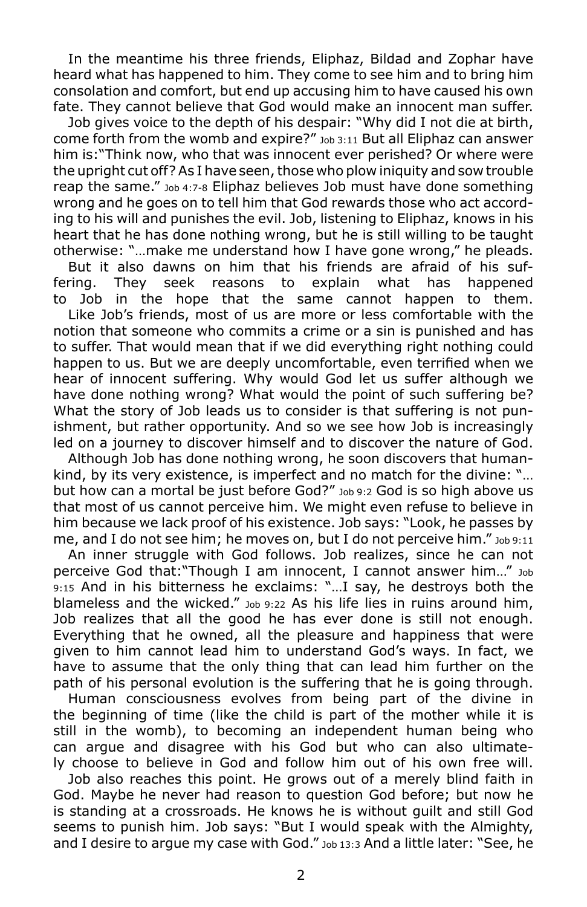In the meantime his three friends, Eliphaz, Bildad and Zophar have heard what has happened to him. They come to see him and to bring him consolation and comfort, but end up accusing him to have caused his own fate. They cannot believe that God would make an innocent man suffer.

Job gives voice to the depth of his despair: "Why did I not die at birth, come forth from the womb and expire?" Job 3:11 But all Eliphaz can answer him is:"Think now, who that was innocent ever perished? Or where were the upright cut off? As I have seen, those who plow iniquity and sow trouble reap the same." Job 4:7-8 Eliphaz believes Job must have done something wrong and he goes on to tell him that God rewards those who act according to his will and punishes the evil. Job, listening to Eliphaz, knows in his heart that he has done nothing wrong, but he is still willing to be taught otherwise: "…make me understand how I have gone wrong," he pleads.

But it also dawns on him that his friends are afraid of his suffering. They seek reasons to explain what has happened to Job in the hope that the same cannot happen to them.

Like Job's friends, most of us are more or less comfortable with the notion that someone who commits a crime or a sin is punished and has to suffer. That would mean that if we did everything right nothing could happen to us. But we are deeply uncomfortable, even terrified when we hear of innocent suffering. Why would God let us suffer although we have done nothing wrong? What would the point of such suffering be? What the story of Job leads us to consider is that suffering is not punishment, but rather opportunity. And so we see how Job is increasingly led on a journey to discover himself and to discover the nature of God.

Although Job has done nothing wrong, he soon discovers that humankind, by its very existence, is imperfect and no match for the divine: "… but how can a mortal be just before God?" Job 9:2 God is so high above us that most of us cannot perceive him. We might even refuse to believe in him because we lack proof of his existence. Job says: "Look, he passes by me, and I do not see him; he moves on, but I do not perceive him."  $_{\text{Job 9:11}}$ 

An inner struggle with God follows. Job realizes, since he can not perceive God that:"Though I am innocent, I cannot answer him…" Job 9:15 And in his bitterness he exclaims: "…I say, he destroys both the blameless and the wicked."  $_{\text{Job 9:22}}$  As his life lies in ruins around him, Job realizes that all the good he has ever done is still not enough. Everything that he owned, all the pleasure and happiness that were given to him cannot lead him to understand God's ways. In fact, we have to assume that the only thing that can lead him further on the path of his personal evolution is the suffering that he is going through.

Human consciousness evolves from being part of the divine in the beginning of time (like the child is part of the mother while it is still in the womb), to becoming an independent human being who can argue and disagree with his God but who can also ultimately choose to believe in God and follow him out of his own free will.

Job also reaches this point. He grows out of a merely blind faith in God. Maybe he never had reason to question God before; but now he is standing at a crossroads. He knows he is without guilt and still God seems to punish him. Job says: "But I would speak with the Almighty, and I desire to argue my case with God." Job 13:3 And a little later: "See, he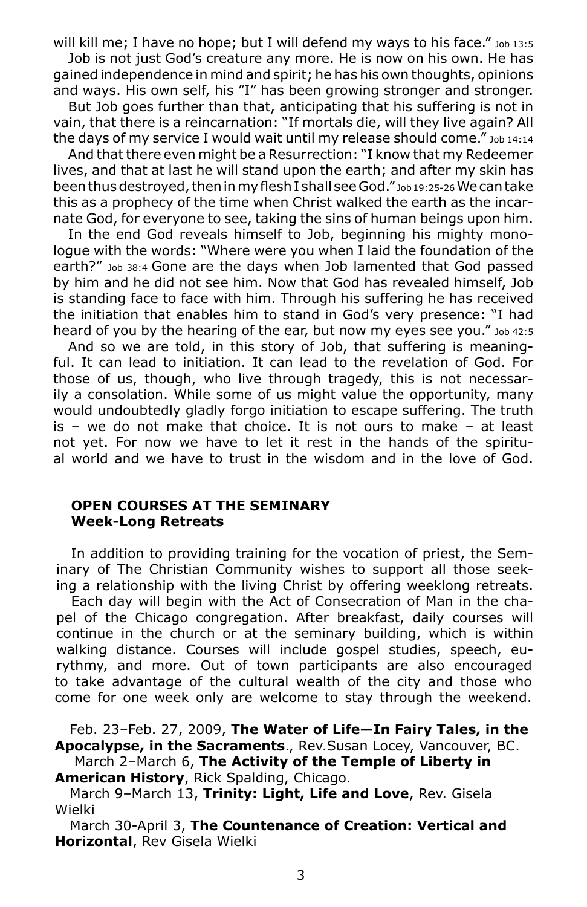will kill me; I have no hope; but I will defend my ways to his face." Job 13:5 Job is not just God's creature any more. He is now on his own. He has

gained independence in mind and spirit; he has his own thoughts, opinions and ways. His own self, his "I" has been growing stronger and stronger.

But Job goes further than that, anticipating that his suffering is not in vain, that there is a reincarnation: "If mortals die, will they live again? All the days of my service I would wait until my release should come." Job 14:14

And that there even might be a Resurrection: "I know that my Redeemer lives, and that at last he will stand upon the earth; and after my skin has been thus destroyed, then in my flesh I shall see God." Job 19:25-26 We can take this as a prophecy of the time when Christ walked the earth as the incarnate God, for everyone to see, taking the sins of human beings upon him.

In the end God reveals himself to Job, beginning his mighty monologue with the words: "Where were you when I laid the foundation of the earth?" Job 38:4 Gone are the days when Job lamented that God passed by him and he did not see him. Now that God has revealed himself, Job is standing face to face with him. Through his suffering he has received the initiation that enables him to stand in God's very presence: "I had heard of you by the hearing of the ear, but now my eyes see you." Job 42:5

And so we are told, in this story of Job, that suffering is meaningful. It can lead to initiation. It can lead to the revelation of God. For those of us, though, who live through tragedy, this is not necessarily a consolation. While some of us might value the opportunity, many would undoubtedly gladly forgo initiation to escape suffering. The truth is – we do not make that choice. It is not ours to make – at least not yet. For now we have to let it rest in the hands of the spiritual world and we have to trust in the wisdom and in the love of God.

## **Open Courses at the Seminary Week-Long Retreats**

In addition to providing training for the vocation of priest, the Seminary of The Christian Community wishes to support all those seeking a relationship with the living Christ by offering weeklong retreats.

Each day will begin with the Act of Consecration of Man in the chapel of the Chicago congregation. After breakfast, daily courses will continue in the church or at the seminary building, which is within walking distance. Courses will include gospel studies, speech, eurythmy, and more. Out of town participants are also encouraged to take advantage of the cultural wealth of the city and those who come for one week only are welcome to stay through the weekend.

Feb. 23–Feb. 27, 2009, **The Water of Life—In Fairy Tales, in the Apocalypse, in the Sacraments**., Rev.Susan Locey, Vancouver, BC.

 March 2–March 6, **The Activity of the Temple of Liberty in American History**, Rick Spalding, Chicago.

March 9–March 13, **Trinity: Light, Life and Love**, Rev. Gisela Wielki

March 30-April 3, **The Countenance of Creation: Vertical and Horizontal**, Rev Gisela Wielki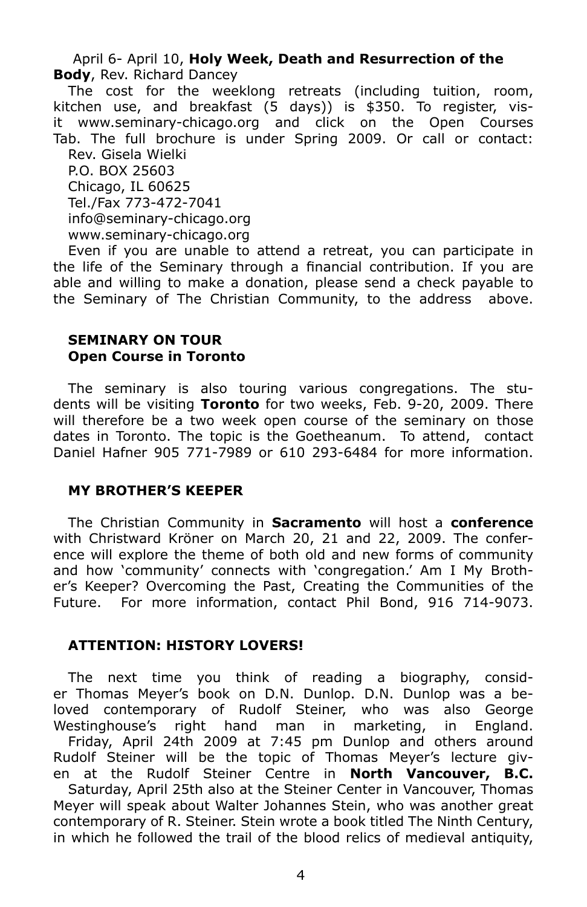April 6- April 10, **Holy Week, Death and Resurrection of the Body**, Rev. Richard Dancey

The cost for the weeklong retreats (including tuition, room, kitchen use, and breakfast (5 days)) is \$350. To register, visit www.seminary-chicago.org and click on the Open Courses Tab. The full brochure is under Spring 2009. Or call or contact: Rev. Gisela Wielki P.O. BOX 25603 Chicago, IL 60625

Tel./Fax 773-472-7041

info@seminary-chicago.org

www.seminary-chicago.org

Even if you are unable to attend a retreat, you can participate in the life of the Seminary through a financial contribution. If you are able and willing to make a donation, please send a check payable to the Seminary of The Christian Community, to the address above.

#### **Seminary on Tour Open Course in Toronto**

The seminary is also touring various congregations. The students will be visiting **Toronto** for two weeks, Feb. 9-20, 2009. There will therefore be a two week open course of the seminary on those dates in Toronto. The topic is the Goetheanum. To attend, contact Daniel Hafner 905 771-7989 or 610 293-6484 for more information.

## **My Brother's Keeper**

The Christian Community in **Sacramento** will host a **conference** with Christward Kröner on March 20, 21 and 22, 2009. The conference will explore the theme of both old and new forms of community and how 'community' connects with 'congregation.' Am I My Brother's Keeper? Overcoming the Past, Creating the Communities of the Future. For more information, contact Phil Bond, 916 714-9073.

## **Attention: History Lovers!**

The next time you think of reading a biography, consider Thomas Meyer's book on D.N. Dunlop. D.N. Dunlop was a beloved contemporary of Rudolf Steiner, who was also George Westinghouse's right hand man in marketing, in England.

Friday, April 24th 2009 at 7:45 pm Dunlop and others around Rudolf Steiner will be the topic of Thomas Meyer's lecture given at the Rudolf Steiner Centre in **North Vancouver, B.C.**

Saturday, April 25th also at the Steiner Center in Vancouver, Thomas Meyer will speak about Walter Johannes Stein, who was another great contemporary of R. Steiner. Stein wrote a book titled The Ninth Century, in which he followed the trail of the blood relics of medieval antiquity,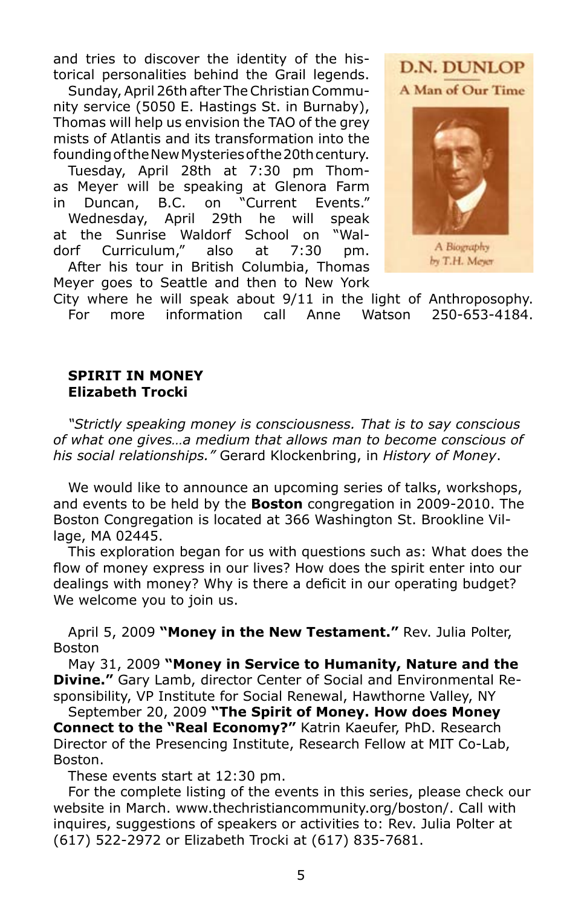and tries to discover the identity of the historical personalities behind the Grail legends.

Sunday, April 26th after The Christian Community service (5050 E. Hastings St. in Burnaby), Thomas will help us envision the TAO of the grey mists of Atlantis and its transformation into the founding of the New Mysteries of the 20th century.

Tuesday, April 28th at 7:30 pm Thomas Meyer will be speaking at Glenora Farm in Duncan, B.C. on "Current Events." Wednesday, April 29th he will speak at the Sunrise Waldorf School on "Waldorf Curriculum," also at 7:30 pm. After his tour in British Columbia, Thomas

Meyer goes to Seattle and then to New York



A Biography by T.H. Meyer

City where he will speak about 9/11 in the light of Anthroposophy. For more information call Anne Watson 250-653-4184.

#### **Spirit in Money Elizabeth Trocki**

*"Strictly speaking money is consciousness. That is to say conscious of what one gives…a medium that allows man to become conscious of his social relationships."* Gerard Klockenbring, in *History of Money*.

We would like to announce an upcoming series of talks, workshops, and events to be held by the **Boston** congregation in 2009-2010. The Boston Congregation is located at 366 Washington St. Brookline Village, MA 02445.

This exploration began for us with questions such as: What does the flow of money express in our lives? How does the spirit enter into our dealings with money? Why is there a deficit in our operating budget? We welcome you to join us.

April 5, 2009 **"Money in the New Testament."** Rev. Julia Polter, Boston

May 31, 2009 **"Money in Service to Humanity, Nature and the Divine."** Gary Lamb, director Center of Social and Environmental Responsibility, VP Institute for Social Renewal, Hawthorne Valley, NY

September 20, 2009 **"The Spirit of Money. How does Money Connect to the "Real Economy?"** Katrin Kaeufer, PhD. Research Director of the Presencing Institute, Research Fellow at MIT Co-Lab, Boston.

These events start at 12:30 pm.

For the complete listing of the events in this series, please check our website in March. www.thechristiancommunity.org/boston/. Call with inquires, suggestions of speakers or activities to: Rev. Julia Polter at (617) 522-2972 or Elizabeth Trocki at (617) 835-7681.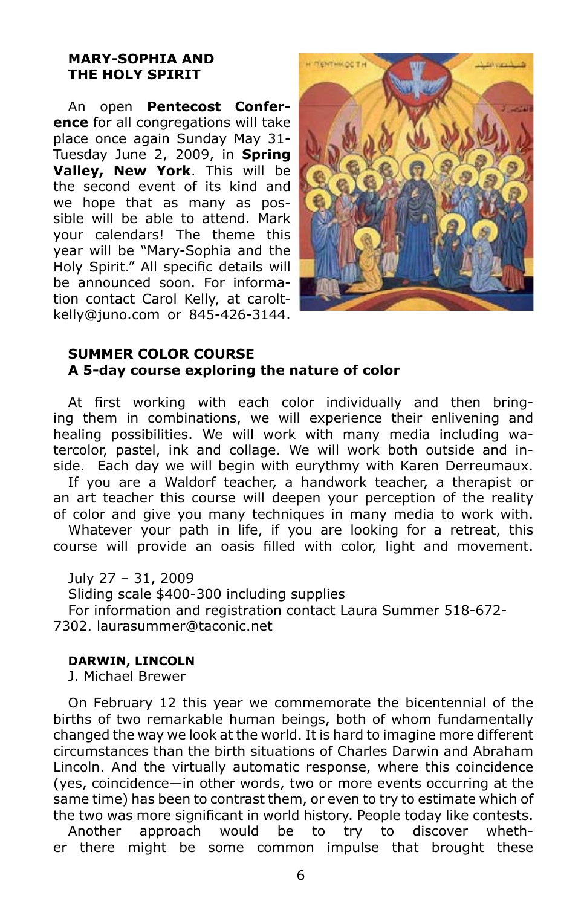#### **Mary-Sophia and the Holy Spirit**

An open **Pentecost Conference** for all congregations will take place once again Sunday May 31- Tuesday June 2, 2009, in **Spring Valley, New York**. This will be the second event of its kind and we hope that as many as possible will be able to attend. Mark your calendars! The theme this year will be "Mary-Sophia and the Holy Spirit." All specific details will be announced soon. For information contact Carol Kelly, at caroltkelly@juno.com or 845-426-3144.



## **Summer Color Course A 5-day course exploring the nature of color**

At first working with each color individually and then bringing them in combinations, we will experience their enlivening and healing possibilities. We will work with many media including watercolor, pastel, ink and collage. We will work both outside and inside. Each day we will begin with eurythmy with Karen Derreumaux.

If you are a Waldorf teacher, a handwork teacher, a therapist or an art teacher this course will deepen your perception of the reality of color and give you many techniques in many media to work with.

Whatever your path in life, if you are looking for a retreat, this course will provide an oasis filled with color, light and movement.

July 27 – 31, 2009

Sliding scale \$400-300 including supplies

For information and registration contact Laura Summer 518-672- 7302. laurasummer@taconic.net

#### **Darwin, Lincoln**

J. Michael Brewer

On February 12 this year we commemorate the bicentennial of the births of two remarkable human beings, both of whom fundamentally changed the way we look at the world. It is hard to imagine more different circumstances than the birth situations of Charles Darwin and Abraham Lincoln. And the virtually automatic response, where this coincidence (yes, coincidence—in other words, two or more events occurring at the same time) has been to contrast them, or even to try to estimate which of the two was more significant in world history. People today like contests.

Another approach would be to try to discover whether there might be some common impulse that brought these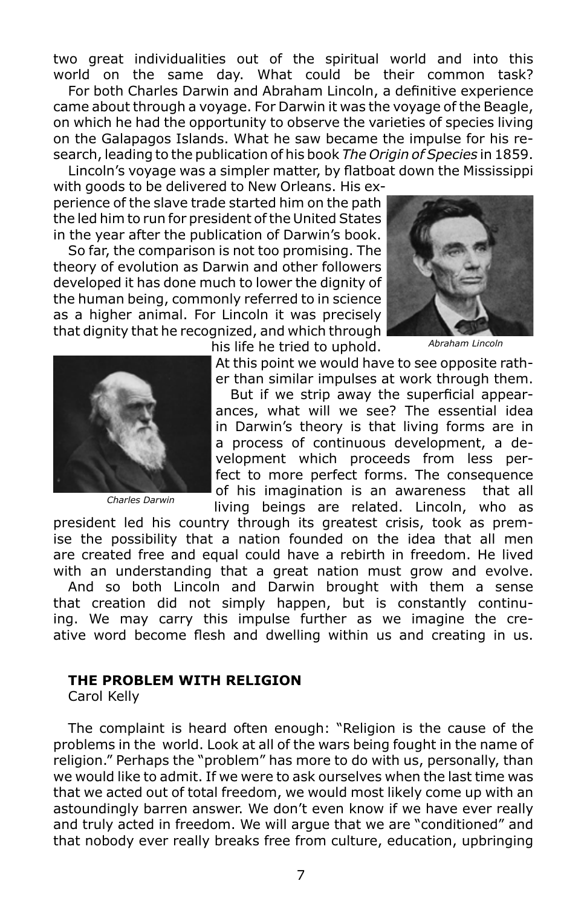two great individualities out of the spiritual world and into this world on the same day. What could be their common task?

For both Charles Darwin and Abraham Lincoln, a definitive experience came about through a voyage. For Darwin it was the voyage of the Beagle, on which he had the opportunity to observe the varieties of species living on the Galapagos Islands. What he saw became the impulse for his research, leading to the publication of his book *The Origin of Species* in 1859.

Lincoln's voyage was a simpler matter, by flatboat down the Mississippi with goods to be delivered to New Orleans. His experience of the slave trade started him on the path the led him to run for president of the United States in the year after the publication of Darwin's book.

So far, the comparison is not too promising. The theory of evolution as Darwin and other followers developed it has done much to lower the dignity of the human being, commonly referred to in science as a higher animal. For Lincoln it was precisely that dignity that he recognized, and which through



*Abraham Lincoln*



*Charles Darwin*

his life he tried to uphold.

At this point we would have to see opposite rather than similar impulses at work through them. But if we strip away the superficial appear-

ances, what will we see? The essential idea in Darwin's theory is that living forms are in a process of continuous development, a development which proceeds from less perfect to more perfect forms. The consequence of his imagination is an awareness that all living beings are related. Lincoln, who as

president led his country through its greatest crisis, took as premise the possibility that a nation founded on the idea that all men are created free and equal could have a rebirth in freedom. He lived with an understanding that a great nation must grow and evolve.

And so both Lincoln and Darwin brought with them a sense that creation did not simply happen, but is constantly continuing. We may carry this impulse further as we imagine the creative word become flesh and dwelling within us and creating in us.

## **The Problem with Religion**

Carol Kelly

The complaint is heard often enough: "Religion is the cause of the problems in the world. Look at all of the wars being fought in the name of religion." Perhaps the "problem" has more to do with us, personally, than we would like to admit. If we were to ask ourselves when the last time was that we acted out of total freedom, we would most likely come up with an astoundingly barren answer. We don't even know if we have ever really and truly acted in freedom. We will argue that we are "conditioned" and that nobody ever really breaks free from culture, education, upbringing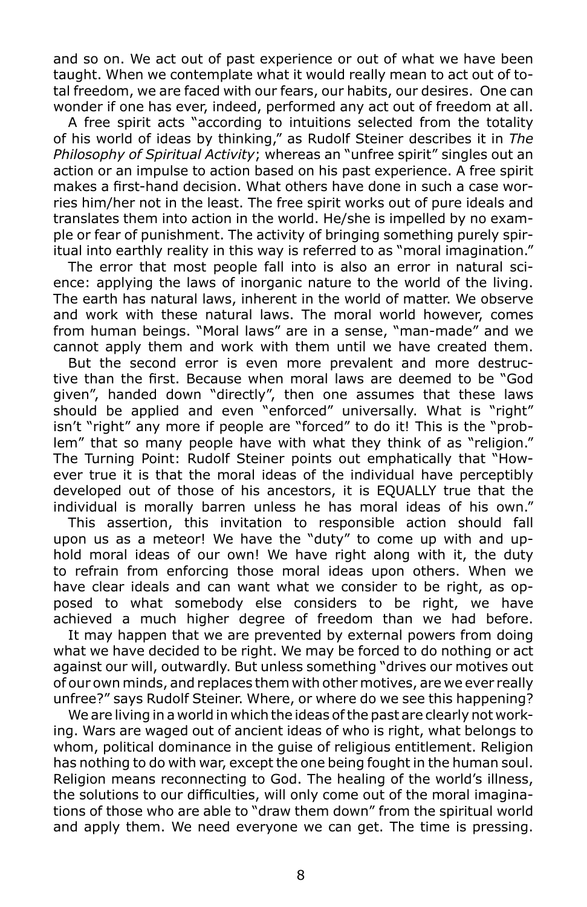and so on. We act out of past experience or out of what we have been taught. When we contemplate what it would really mean to act out of total freedom, we are faced with our fears, our habits, our desires. One can wonder if one has ever, indeed, performed any act out of freedom at all.

A free spirit acts "according to intuitions selected from the totality of his world of ideas by thinking," as Rudolf Steiner describes it in *The Philosophy of Spiritual Activity*; whereas an "unfree spirit" singles out an action or an impulse to action based on his past experience. A free spirit makes a first-hand decision. What others have done in such a case worries him/her not in the least. The free spirit works out of pure ideals and translates them into action in the world. He/she is impelled by no example or fear of punishment. The activity of bringing something purely spiritual into earthly reality in this way is referred to as "moral imagination."

The error that most people fall into is also an error in natural science: applying the laws of inorganic nature to the world of the living. The earth has natural laws, inherent in the world of matter. We observe and work with these natural laws. The moral world however, comes from human beings. "Moral laws" are in a sense, "man-made" and we cannot apply them and work with them until we have created them.

But the second error is even more prevalent and more destructive than the first. Because when moral laws are deemed to be "God given", handed down "directly", then one assumes that these laws should be applied and even "enforced" universally. What is "right" isn't "right" any more if people are "forced" to do it! This is the "problem" that so many people have with what they think of as "religion." The Turning Point: Rudolf Steiner points out emphatically that "However true it is that the moral ideas of the individual have perceptibly developed out of those of his ancestors, it is EQUALLY true that the individual is morally barren unless he has moral ideas of his own."

This assertion, this invitation to responsible action should fall upon us as a meteor! We have the "duty" to come up with and uphold moral ideas of our own! We have right along with it, the duty to refrain from enforcing those moral ideas upon others. When we have clear ideals and can want what we consider to be right, as opposed to what somebody else considers to be right, we have achieved a much higher degree of freedom than we had before.

It may happen that we are prevented by external powers from doing what we have decided to be right. We may be forced to do nothing or act against our will, outwardly. But unless something "drives our motives out of our own minds, and replaces them with other motives, are we ever really unfree?" says Rudolf Steiner. Where, or where do we see this happening?

We are living in a world in which the ideas of the past are clearly not working. Wars are waged out of ancient ideas of who is right, what belongs to whom, political dominance in the guise of religious entitlement. Religion has nothing to do with war, except the one being fought in the human soul. Religion means reconnecting to God. The healing of the world's illness, the solutions to our difficulties, will only come out of the moral imaginations of those who are able to "draw them down" from the spiritual world and apply them. We need everyone we can get. The time is pressing.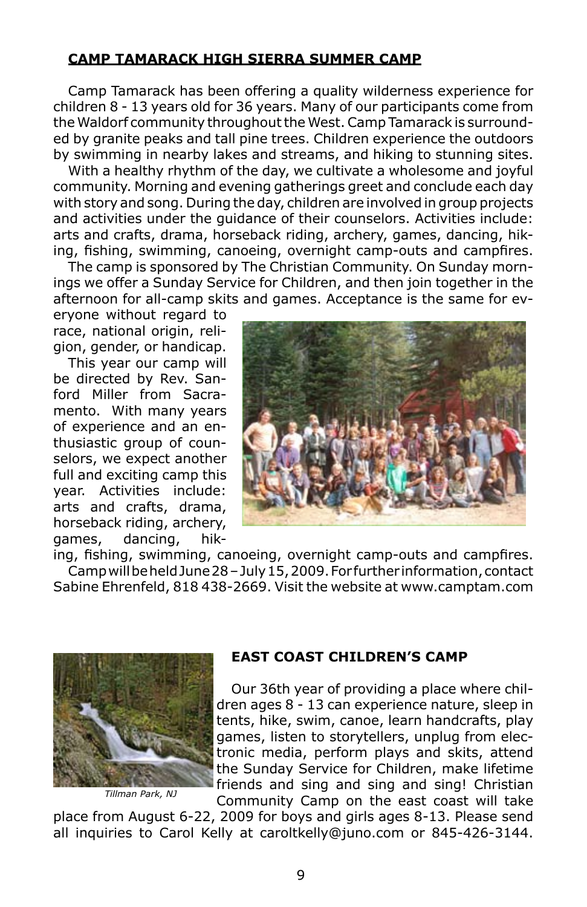## **Camp Tamarack High Sierra Summer Camp**

Camp Tamarack has been offering a quality wilderness experience for children 8 - 13 years old for 36 years. Many of our participants come from the Waldorf community throughout the West. Camp Tamarack is surrounded by granite peaks and tall pine trees. Children experience the outdoors by swimming in nearby lakes and streams, and hiking to stunning sites.

With a healthy rhythm of the day, we cultivate a wholesome and joyful community. Morning and evening gatherings greet and conclude each day with story and song. During the day, children are involved in group projects and activities under the guidance of their counselors. Activities include: arts and crafts, drama, horseback riding, archery, games, dancing, hiking, fishing, swimming, canoeing, overnight camp-outs and campfires.

The camp is sponsored by The Christian Community. On Sunday mornings we offer a Sunday Service for Children, and then join together in the afternoon for all-camp skits and games. Acceptance is the same for ev-

eryone without regard to race, national origin, religion, gender, or handicap.

This year our camp will be directed by Rev. Sanford Miller from Sacramento. With many years of experience and an enthusiastic group of counselors, we expect another full and exciting camp this year. Activities include: arts and crafts, drama, horseback riding, archery, games, dancing, hik-



ing, fishing, swimming, canoeing, overnight camp-outs and campfires. Camp will be held June 28 – July 15, 2009. For further information, contact Sabine Ehrenfeld, 818 438-2669. Visit the website at www.camptam.com



*Tillman Park, NJ*

# **East Coast Children's Camp**

Our 36th year of providing a place where children ages 8 - 13 can experience nature, sleep in tents, hike, swim, canoe, learn handcrafts, play games, listen to storytellers, unplug from electronic media, perform plays and skits, attend the Sunday Service for Children, make lifetime friends and sing and sing and sing! Christian Community Camp on the east coast will take

place from August 6-22, 2009 for boys and girls ages 8-13. Please send all inquiries to Carol Kelly at caroltkelly@juno.com or 845-426-3144.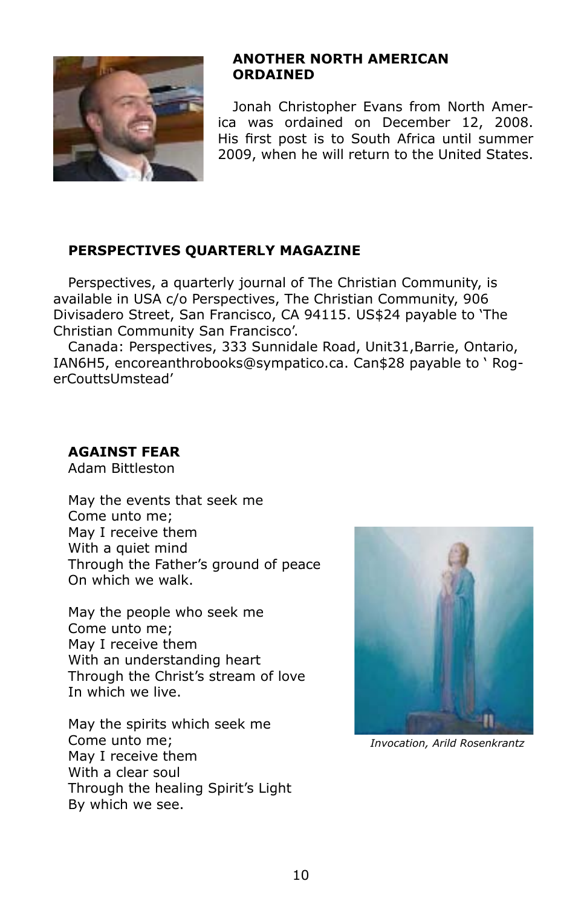

## **Another North American Ordained**

Jonah Christopher Evans from North America was ordained on December 12, 2008. His first post is to South Africa until summer 2009, when he will return to the United States.

# **Perspectives Quarterly Magazine**

Perspectives, a quarterly journal of The Christian Community, is available in USA c/o Perspectives, The Christian Community, 906 Divisadero Street, San Francisco, CA 94115. US\$24 payable to 'The Christian Community San Francisco'.

Canada: Perspectives, 333 Sunnidale Road, Unit31,Barrie, Ontario, IAN6H5, encoreanthrobooks@sympatico.ca. Can\$28 payable to ' RogerCouttsUmstead'

# **Against Fear**

Adam Bittleston

May the events that seek me Come unto me; May I receive them With a quiet mind Through the Father's ground of peace On which we walk.

May the people who seek me Come unto me; May I receive them With an understanding heart Through the Christ's stream of love In which we live.

May the spirits which seek me Come unto me; May I receive them With a clear soul Through the healing Spirit's Light By which we see.



*Invocation, Arild Rosenkrantz*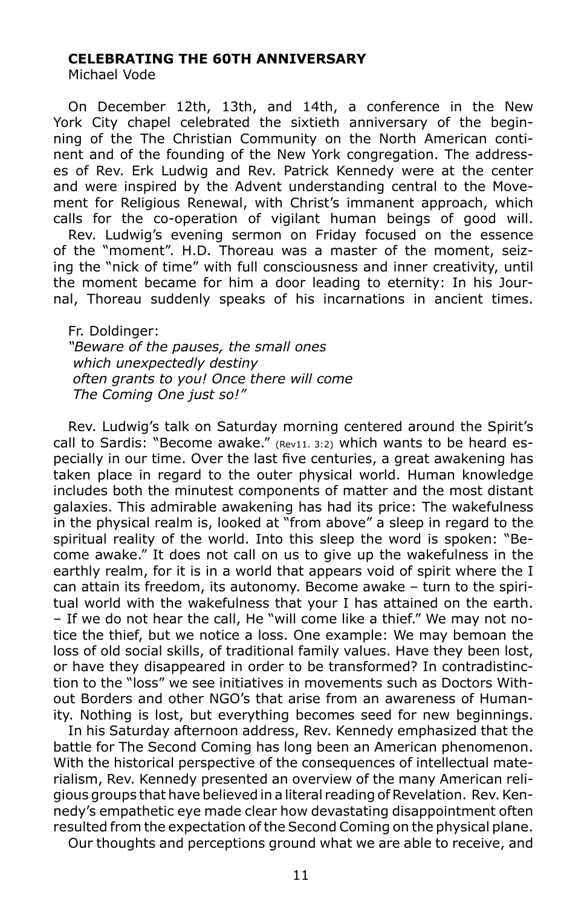#### **Celebrating the 60th Anniversary**

Michael Vode

On December 12th, 13th, and 14th, a conference in the New York City chapel celebrated the sixtieth anniversary of the beginning of the The Christian Community on the North American continent and of the founding of the New York congregation. The addresses of Rev. Erk Ludwig and Rev. Patrick Kennedy were at the center and were inspired by the Advent understanding central to the Movement for Religious Renewal, with Christ's immanent approach, which calls for the co-operation of vigilant human beings of good will.

Rev. Ludwig's evening sermon on Friday focused on the essence of the "moment". H.D. Thoreau was a master of the moment, seizing the "nick of time" with full consciousness and inner creativity, until the moment became for him a door leading to eternity: In his Journal, Thoreau suddenly speaks of his incarnations in ancient times.

Fr. Doldinger: *"Beware of the pauses, the small ones which unexpectedly destiny often grants to you! Once there will come The Coming One just so!"*

Rev. Ludwig's talk on Saturday morning centered around the Spirit's call to Sardis: "Become awake."  $(Rev11. 3:2)$  which wants to be heard especially in our time. Over the last five centuries, a great awakening has taken place in regard to the outer physical world. Human knowledge includes both the minutest components of matter and the most distant galaxies. This admirable awakening has had its price: The wakefulness in the physical realm is, looked at "from above" a sleep in regard to the spiritual reality of the world. Into this sleep the word is spoken: "Become awake." It does not call on us to give up the wakefulness in the earthly realm, for it is in a world that appears void of spirit where the I can attain its freedom, its autonomy. Become awake – turn to the spiritual world with the wakefulness that your I has attained on the earth. – If we do not hear the call, He "will come like a thief." We may not notice the thief, but we notice a loss. One example: We may bemoan the loss of old social skills, of traditional family values. Have they been lost, or have they disappeared in order to be transformed? In contradistinction to the "loss" we see initiatives in movements such as Doctors Without Borders and other NGO's that arise from an awareness of Humanity. Nothing is lost, but everything becomes seed for new beginnings.

In his Saturday afternoon address, Rev. Kennedy emphasized that the battle for The Second Coming has long been an American phenomenon. With the historical perspective of the consequences of intellectual materialism, Rev. Kennedy presented an overview of the many American religious groups that have believed in a literal reading of Revelation. Rev. Kennedy's empathetic eye made clear how devastating disappointment often resulted from the expectation of the Second Coming on the physical plane.

Our thoughts and perceptions ground what we are able to receive, and